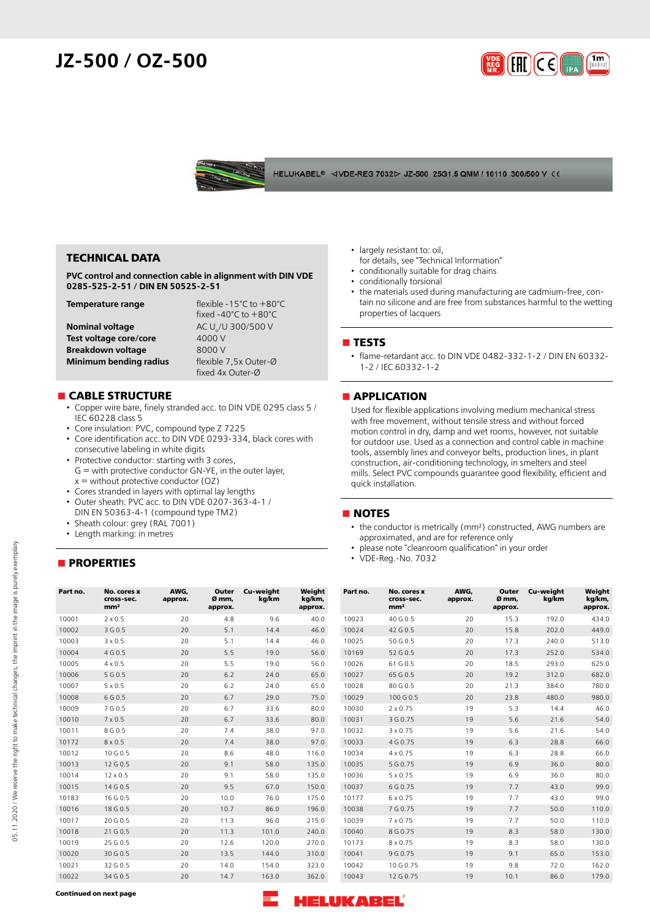## **JZ-500 / OZ-500**





### **TECHNICAL DATA**

**PVC control and connection cable in alignment with DIN VDE 0285-525-2-51 / DIN EN 50525-2-51**

| Temperature range        | flexible -15 $°C$ to +80 $°C$             |
|--------------------------|-------------------------------------------|
|                          | fixed -40 $^{\circ}$ C to $+80^{\circ}$ C |
| <b>Nominal voltage</b>   | AC U <sub>2</sub> /U 300/500 V            |
| Test voltage core/core   | 4000 V                                    |
| <b>Breakdown voltage</b> | 8000 V                                    |
| Minimum bending radius   | flexible 7,5x Outer-Ø                     |
|                          | fixed 4x Outer-Ø                          |

### **n** CABLE STRUCTURE

- Copper wire bare, finely stranded acc. to DIN VDE 0295 class 5 / IEC 60228 class 5
- Core insulation: PVC, compound type Z 7225
- Core identification acc. to DIN VDE 0293-334, black cores with consecutive labeling in white digits
- Protective conductor: starting with 3 cores, G = with protective conductor GN-YE, in the outer layer,  $x =$  without protective conductor (OZ)
- Cores stranded in layers with optimal lay lengths
- Outer sheath: PVC acc. to DIN VDE 0207-363-4-1 / DIN EN 50363-4-1 (compound type TM2)
- Sheath colour: grey (RAL 7001)
- Length marking: in metres

## **nPROPERTIES**

- largely resistant to: oil,
- for details, see "Technical Information"
- conditionally suitable for drag chains conditionally torsional
- the materials used during manufacturing are cadmium-free, contain no silicone and are free from substances harmful to the wetting properties of lacquers

#### **n** TESTS

• flame-retardant acc. to DIN VDE 0482-332-1-2 / DIN EN 60332- 1-2 / IEC 60332-1-2

#### **nAPPLICATION**

Used for flexible applications involving medium mechanical stress with free movement, without tensile stress and without forced motion control in dry, damp and wet rooms, however, not suitable for outdoor use. Used as a connection and control cable in machine tools, assembly lines and conveyor belts, production lines, in plant construction, air-conditioning technology, in smelters and steel mills. Select PVC compounds guarantee good flexibility, efficient and quick installation.

#### **NOTES**

- the conductor is metrically (mm²) constructed, AWG numbers are approximated, and are for reference only
- please note "cleanroom qualification" in your order
- VDE-Reg.-No. 7032

| Part no. | No. cores x<br>cross-sec.<br>mm <sup>2</sup> | AWG.<br>approx. | Outer<br>Ø mm,<br>approx. | Cu-weight<br>kg/km | Weight<br>kg/km,<br>approx. | Part no. | No. cores x<br>cross-sec.<br>mm <sup>2</sup> | AWG,<br>approx. | Outer<br>Ø mm,<br>approx. | Cu-weight<br>kg/km | Weight<br>kg/km,<br>approx. |
|----------|----------------------------------------------|-----------------|---------------------------|--------------------|-----------------------------|----------|----------------------------------------------|-----------------|---------------------------|--------------------|-----------------------------|
| 10001    | $2 \times 0.5$                               | 20              | 4.8                       | 9.6                | 40.0                        | 10023    | 40 G 0.5                                     | 20              | 15.3                      | 192.0              | 434.0                       |
| 10002    | 3 G 0.5                                      | 20              | 5.1                       | 14.4               | 46.0                        | 10024    | 42 G 0.5                                     | 20              | 15.8                      | 202.0              | 449.0                       |
| 10003    | $3 \times 0.5$                               | 20              | 5.1                       | 14.4               | 46.0                        | 10025    | 50 G 0.5                                     | 20              | 17.3                      | 240.0              | 513.0                       |
| 10004    | 4 G 0.5                                      | 20              | 5.5                       | 19.0               | 56.0                        | 10169    | 52 G 0.5                                     | 20              | 17.3                      | 252.0              | 534.0                       |
| 10005    | $4 \times 0.5$                               | 20              | 5.5                       | 19.0               | 56.0                        | 10026    | 61 G 0.5                                     | 20              | 18.5                      | 293.0              | 625.0                       |
| 10006    | 5 G 0.5                                      | 20              | 6.2                       | 24.0               | 65.0                        | 10027    | 65 G 0.5                                     | 20              | 19.2                      | 312.0              | 682.0                       |
| 10007    | $5 \times 0.5$                               | 20              | 6.2                       | 24.0               | 65.0                        | 10028    | 80 G 0.5                                     | 20              | 21.3                      | 384.0              | 780.0                       |
| 10008    | 6 G 0.5                                      | 20              | 6.7                       | 29.0               | 75.0                        | 10029    | 100 G 0.5                                    | 20              | 23.8                      | 480.0              | 980.0                       |
| 10009    | 7 G 0.5                                      | 20              | 6.7                       | 33.6               | 80.0                        | 10030    | $2 \times 0.75$                              | 19              | 5.3                       | 14.4               | 46.0                        |
| 10010    | $7 \times 0.5$                               | 20              | 6.7                       | 33.6               | 80.0                        | 10031    | 3 G 0.75                                     | 19              | 5.6                       | 21.6               | 54.0                        |
| 10011    | 8 G 0.5                                      | 20              | 7.4                       | 38.0               | 97.0                        | 10032    | $3 \times 0.75$                              | 19              | 5.6                       | 21.6               | 54.0                        |
| 10172    | $8 \times 0.5$                               | 20              | 7.4                       | 38.0               | 97.0                        | 10033    | 4 G 0.75                                     | 19              | 6.3                       | 28.8               | 66.0                        |
| 10012    | 10 G 0.5                                     | 20              | 8.6                       | 48.0               | 116.0                       | 10034    | $4 \times 0.75$                              | 19              | 6.3                       | 28.8               | 66.0                        |
| 10013    | 12 G 0.5                                     | 20              | 9.1                       | 58.0               | 135.0                       | 10035    | 5 G 0.75                                     | 19              | 6.9                       | 36.0               | 80.0                        |
| 10014    | $12 \times 0.5$                              | 20              | 9.1                       | 58.0               | 135.0                       | 10036    | $5 \times 0.75$                              | 19              | 6.9                       | 36.0               | 80.0                        |
| 10015    | 14 G 0.5                                     | 20              | 9.5                       | 67.0               | 150.0                       | 10037    | 6 G 0.75                                     | 19              | 7.7                       | 43.0               | 99.0                        |
| 10183    | 16 G 0.5                                     | 20              | 10.0                      | 76.0               | 175.0                       | 10177    | $6 \times 0.75$                              | 19              | 7.7                       | 43.0               | 99.0                        |
| 10016    | 18 G 0.5                                     | 20              | 10.7                      | 86.0               | 196.0                       | 10038    | 7 G 0.75                                     | 19              | 7.7                       | 50.0               | 110.0                       |
| 10017    | 20 G 0.5                                     | 20              | 11.3                      | 96.0               | 215.0                       | 10039    | $7 \times 0.75$                              | 19              | 7.7                       | 50.0               | 110.0                       |
| 10018    | 21 G 0.5                                     | 20              | 11.3                      | 101.0              | 240.0                       | 10040    | 8 G 0.75                                     | 19              | 8.3                       | 58.0               | 130.0                       |
| 10019    | 25 G 0.5                                     | 20              | 12.6                      | 120.0              | 270.0                       | 10173    | $8 \times 0.75$                              | 19              | 8.3                       | 58.0               | 130.0                       |
| 10020    | 30 G 0.5                                     | 20              | 13.5                      | 144.0              | 310.0                       | 10041    | 9 G 0.75                                     | 19              | 9.1                       | 65.0               | 153.0                       |
| 10021    | 32 G 0.5                                     | 20              | 14.0                      | 154.0              | 323.0                       | 10042    | 10 G 0.75                                    | 19              | 9.8                       | 72.0               | 162.0                       |
| 10022    | 34 G 0.5                                     | 20              | 14.7                      | 163.0              | 362.0                       | 10043    | 12 G 0.75                                    | 19              | 10.1                      | 86.0               | 179.0                       |

**Continued on next page**

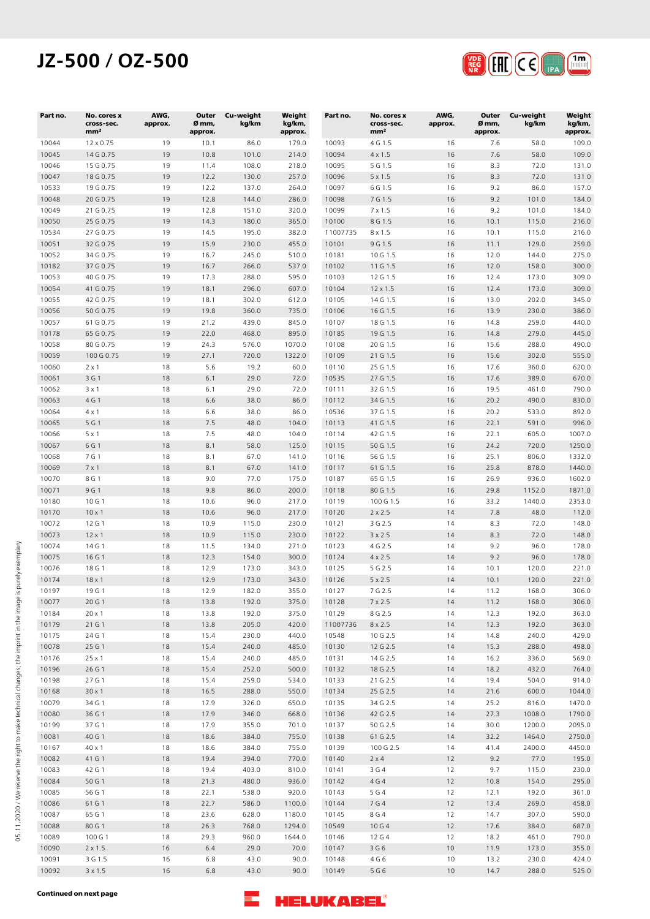# **JZ-500 / OZ-500**



| Part no.       | No. cores x<br>cross-sec.<br>mm <sup>2</sup> | AWG,<br>approx. | Outer<br>Ø mm,<br>approx. | Cu-weight<br>kg/km | Weight<br>kg/km,<br>approx. | Part no.       | No. cores x<br>cross-sec.<br>mm <sup>2</sup> | AWG,<br>approx. | Outer<br>Ø mm,<br>approx. | Cu-weight<br>kg/km | Weight<br>kg/km,<br>approx. |
|----------------|----------------------------------------------|-----------------|---------------------------|--------------------|-----------------------------|----------------|----------------------------------------------|-----------------|---------------------------|--------------------|-----------------------------|
| 10044          | 12 x 0.75                                    | 19              | 10.1                      | 86.0               | 179.0                       | 10093          | 4 G 1.5                                      | 16              | 7.6                       | 58.0               | 109.0                       |
| 10045          | 14 G 0.75                                    | 19              | 10.8                      | 101.0              | 214.0                       | 10094          | $4 \times 1.5$                               | 16              | 7.6                       | 58.0               | 109.0                       |
| 10046          | 15 G 0.75                                    | 19              | 11.4                      | 108.0              | 218.0                       | 10095          | 5 G 1.5                                      | 16              | 8.3                       | 72.0               | 131.0                       |
| 10047          | 18 G 0.75                                    | 19              | 12.2                      | 130.0              | 257.0                       | 10096          | $5 \times 1.5$                               | 16              | 8.3                       | 72.0               | 131.0                       |
| 10533          | 19 G 0.75                                    | 19<br>19        | 12.2<br>12.8              | 137.0<br>144.0     | 264.0<br>286.0              | 10097          | 6 G 1.5                                      | 16<br>16        | 9.2<br>9.2                | 86.0<br>101.0      | 157.0<br>184.0              |
| 10048<br>10049 | 20 G 0.75<br>21 G 0.75                       | 19              | 12.8                      | 151.0              | 320.0                       | 10098<br>10099 | 7 G 1.5<br>$7 \times 1.5$                    | 16              | 9.2                       | 101.0              | 184.0                       |
| 10050          | 25 G 0.75                                    | 19              | 14.3                      | 180.0              | 365.0                       | 10100          | 8 G 1.5                                      | 16              | 10.1                      | 115.0              | 216.0                       |
| 10534          | 27 G 0.75                                    | 19              | 14.5                      | 195.0              | 382.0                       | 11007735       | $8 \times 1.5$                               | 16              | 10.1                      | 115.0              | 216.0                       |
| 10051          | 32 G 0.75                                    | 19              | 15.9                      | 230.0              | 455.0                       | 10101          | 9 G 1.5                                      | 16              | 11.1                      | 129.0              | 259.0                       |
| 10052          | 34 G 0.75                                    | 19              | 16.7                      | 245.0              | 510.0                       | 10181          | 10 G 1.5                                     | 16              | 12.0                      | 144.0              | 275.0                       |
| 10182          | 37 G 0.75                                    | 19              | 16.7                      | 266.0              | 537.0                       | 10102          | 11 G 1.5                                     | 16              | 12.0                      | 158.0              | 300.0                       |
| 10053          | 40 G 0.75                                    | 19              | 17.3                      | 288.0              | 595.0                       | 10103          | 12 G 1.5                                     | 16              | 12.4                      | 173.0              | 309.0                       |
| 10054          | 41 G 0.75                                    | 19              | 18.1                      | 296.0              | 607.0                       | 10104          | 12 x 1.5                                     | 16              | 12.4                      | 173.0              | 309.0                       |
| 10055          | 42 G 0.75                                    | 19              | 18.1                      | 302.0              | 612.0                       | 10105          | 14 G 1.5                                     | 16              | 13.0                      | 202.0              | 345.0                       |
| 10056          | 50 G 0.75                                    | 19              | 19.8                      | 360.0              | 735.0                       | 10106          | 16 G 1.5                                     | 16              | 13.9                      | 230.0              | 386.0                       |
| 10057          | 61 G 0.75                                    | 19              | 21.2                      | 439.0              | 845.0                       | 10107          | 18 G 1.5                                     | 16              | 14.8                      | 259.0              | 440.0                       |
| 10178<br>10058 | 65 G 0.75<br>80 G 0.75                       | 19<br>19        | 22.0<br>24.3              | 468.0<br>576.0     | 895.0<br>1070.0             | 10185<br>10108 | 19 G 1.5<br>20 G 1.5                         | 16<br>16        | 14.8<br>15.6              | 279.0<br>288.0     | 445.0<br>490.0              |
| 10059          | 100 G 0.75                                   | 19              | 27.1                      | 720.0              | 1322.0                      | 10109          | 21 G 1.5                                     | 16              | 15.6                      | 302.0              | 555.0                       |
| 10060          | $2 \times 1$                                 | 18              | 5.6                       | 19.2               | 60.0                        | 10110          | 25 G 1.5                                     | 16              | 17.6                      | 360.0              | 620.0                       |
| 10061          | 3 G 1                                        | 18              | 6.1                       | 29.0               | 72.0                        | 10535          | 27 G 1.5                                     | 16              | 17.6                      | 389.0              | 670.0                       |
| 10062          | $3 \times 1$                                 | 18              | 6.1                       | 29.0               | 72.0                        | 10111          | 32 G 1.5                                     | 16              | 19.5                      | 461.0              | 790.0                       |
| 10063          | 4 G 1                                        | 18              | 6.6                       | 38.0               | 86.0                        | 10112          | 34 G 1.5                                     | 16              | 20.2                      | 490.0              | 830.0                       |
| 10064          | 4 x 1                                        | 18              | 6.6                       | 38.0               | 86.0                        | 10536          | 37 G 1.5                                     | 16              | 20.2                      | 533.0              | 892.0                       |
| 10065          | 5 G 1                                        | 18              | 7.5                       | 48.0               | 104.0                       | 10113          | 41 G 1.5                                     | 16              | 22.1                      | 591.0              | 996.0                       |
| 10066          | $5 \times 1$                                 | 18              | 7.5                       | 48.0               | 104.0                       | 10114          | 42 G 1.5                                     | 16              | 22.1                      | 605.0              | 1007.0                      |
| 10067          | 6 G 1                                        | 18              | 8.1                       | 58.0               | 125.0                       | 10115          | 50 G 1.5                                     | 16              | 24.2                      | 720.0              | 1250.0                      |
| 10068          | 7 G 1                                        | 18              | 8.1                       | 67.0               | 141.0                       | 10116          | 56 G 1.5                                     | 16              | 25.1                      | 806.0              | 1332.0                      |
| 10069          | $7 \times 1$                                 | 18              | 8.1                       | 67.0               | 141.0                       | 10117          | 61 G 1.5                                     | 16              | 25.8                      | 878.0              | 1440.0                      |
| 10070          | 8 G 1                                        | 18              | 9.0                       | 77.0               | 175.0                       | 10187          | 65 G 1.5                                     | 16              | 26.9                      | 936.0              | 1602.0                      |
| 10071          | 9 G 1                                        | 18              | 9.8                       | 86.0               | 200.0                       | 10118          | 80 G 1.5                                     | 16              | 29.8                      | 1152.0             | 1871.0                      |
| 10180<br>10170 | 10 G 1<br>$10 \times 1$                      | 18<br>18        | 10.6<br>10.6              | 96.0<br>96.0       | 217.0<br>217.0              | 10119<br>10120 | 100 G 1.5<br>$2 \times 2.5$                  | 16<br>14        | 33.2<br>7.8               | 1440.0<br>48.0     | 2353.0<br>112.0             |
| 10072          | 12 G 1                                       | 18              | 10.9                      | 115.0              | 230.0                       | 10121          | 3 G 2.5                                      | 14              | 8.3                       | 72.0               | 148.0                       |
| 10073          | $12 \times 1$                                | 18              | 10.9                      | 115.0              | 230.0                       | 10122          | $3 \times 2.5$                               | 14              | 8.3                       | 72.0               | 148.0                       |
| 10074          | 14 G 1                                       | 18              | 11.5                      | 134.0              | 271.0                       | 10123          | 4 G 2.5                                      | 14              | 9.2                       | 96.0               | 178.0                       |
| 10075          | 16 G 1                                       | 18              | 12.3                      | 154.0              | 300.0                       | 10124          | $4 \times 2.5$                               | 14              | 9.2                       | 96.0               | 178.0                       |
| 10076          | 18 G 1                                       | 18              | 12.9                      | 173.0              | 343.0                       | 10125          | 5 G 2.5                                      | 14              | 10.1                      | 120.0              | 221.0                       |
| 10174          | $18 \times 1$                                | 18              | 12.9                      | 173.0              | 343.0                       | 10126          | $5 \times 2.5$                               | 14              | 10.1                      | 120.0              | 221.0                       |
| 10197          | 19 G 1                                       | 18              | 12.9                      | 182.0              | 355.0                       | 10127          | 7 G 2.5                                      | 14              | 11.2                      | 168.0              | 306.0                       |
| 10077          | 20 G 1                                       | 18              | 13.8                      | 192.0              | 375.0                       | 10128          | 7 x 2.5                                      | 14              | 11.2                      | 168.0              | 306.0                       |
| 10184          | $20 \times 1$                                | 18              | 13.8                      | 192.0              | 375.0                       | 10129          | 8 G 2.5                                      | 14              | 12.3                      | 192.0              | 363.0                       |
| 10179          | 21 G 1                                       | 18              | 13.8                      | 205.0              | 420.0                       | 11007736       | $8 \times 2.5$                               | 14              | 12.3                      | 192.0              | 363.0                       |
| 10175          | 24 G 1                                       | 18              | 15.4                      | 230.0              | 440.0                       | 10548          | 10 G 2.5                                     | 14              | 14.8                      | 240.0              | 429.0                       |
| 10078<br>10176 | 25 G 1                                       | 18              | 15.4                      | 240.0<br>240.0     | 485.0<br>485.0              | 10130<br>10131 | 12 G 2.5                                     | 14              | 15.3                      | 288.0<br>336.0     | 498.0<br>569.0              |
| 10196          | 25 x 1<br>26 G 1                             | 18<br>18        | 15.4<br>15.4              | 252.0              | 500.0                       | 10132          | 14 G 2.5<br>18 G 2.5                         | 14<br>14        | 16.2<br>18.2              | 432.0              | 764.0                       |
| 10198          | 27 G 1                                       | 18              | 15.4                      | 259.0              | 534.0                       | 10133          | 21 G 2.5                                     | 14              | 19.4                      | 504.0              | 914.0                       |
| 10168          | $30 \times 1$                                | 18              | 16.5                      | 288.0              | 550.0                       | 10134          | 25 G 2.5                                     | 14              | 21.6                      | 600.0              | 1044.0                      |
| 10079          | 34 G 1                                       | 18              | 17.9                      | 326.0              | 650.0                       | 10135          | 34 G 2.5                                     | 14              | 25.2                      | 816.0              | 1470.0                      |
| 10080          | 36 G 1                                       | 18              | 17.9                      | 346.0              | 668.0                       | 10136          | 42 G 2.5                                     | 14              | 27.3                      | 1008.0             | 1790.0                      |
| 10199          | 37 G 1                                       | 18              | 17.9                      | 355.0              | 701.0                       | 10137          | 50 G 2.5                                     | 14              | 30.0                      | 1200.0             | 2095.0                      |
| 10081          | 40 G 1                                       | 18              | 18.6                      | 384.0              | 755.0                       | 10138          | 61 G 2.5                                     | 14              | 32.2                      | 1464.0             | 2750.0                      |
| 10167          | 40 x 1                                       | 18              | 18.6                      | 384.0              | 755.0                       | 10139          | 100 G 2.5                                    | 14              | 41.4                      | 2400.0             | 4450.0                      |
| 10082          | 41 G 1                                       | 18              | 19.4                      | 394.0              | 770.0                       | 10140          | $2 \times 4$                                 | 12              | 9.2                       | 77.0               | 195.0                       |
| 10083          | 42 G 1                                       | 18              | 19.4                      | 403.0              | 810.0                       | 10141          | 3 G 4                                        | 12              | 9.7                       | 115.0              | 230.0                       |
| 10084          | 50 G 1                                       | 18              | 21.3                      | 480.0              | 936.0                       | 10142          | 4 G 4                                        | 12              | 10.8                      | 154.0              | 295.0                       |
| 10085          | 56 G 1                                       | 18              | 22.1                      | 538.0              | 920.0                       | 10143          | 5 G 4                                        | 12              | 12.1                      | 192.0              | 361.0                       |
| 10086          | 61 G 1                                       | 18              | 22.7                      | 586.0              | 1100.0                      | 10144          | 7 G 4                                        | $12$            | 13.4                      | 269.0              | 458.0                       |
| 10087          | 65 G 1                                       | 18              | 23.6                      | 628.0              | 1180.0                      | 10145          | 8 G 4                                        | 12              | 14.7                      | 307.0              | 590.0                       |
| 10088<br>10089 | 80 G 1<br>100 G 1                            | 18<br>18        | 26.3<br>29.3              | 768.0<br>960.0     | 1294.0<br>1644.0            | 10549<br>10146 | 10 G 4<br>12 G 4                             | $12$<br>12      | 17.6<br>18.2              | 384.0<br>461.0     | 687.0<br>790.0              |
| 10090          | $2 \times 1.5$                               | 16              | $6.4$                     | 29.0               | 70.0                        | 10147          | 3 G 6                                        | 10              | 11.9                      | 173.0              | 355.0                       |
| 10091          | 3 G 1.5                                      | 16              | 6.8                       | 43.0               | 90.0                        | 10148          | 4 G 6                                        | 10              | 13.2                      | 230.0              | 424.0                       |
| 10092          | $3 \times 1.5$                               | 16              | 6.8                       | 43.0               | 90.0                        | 10149          | 5 G 6                                        | $10$            | 14.7                      | 288.0              | 525.0                       |

**Continued on next page**